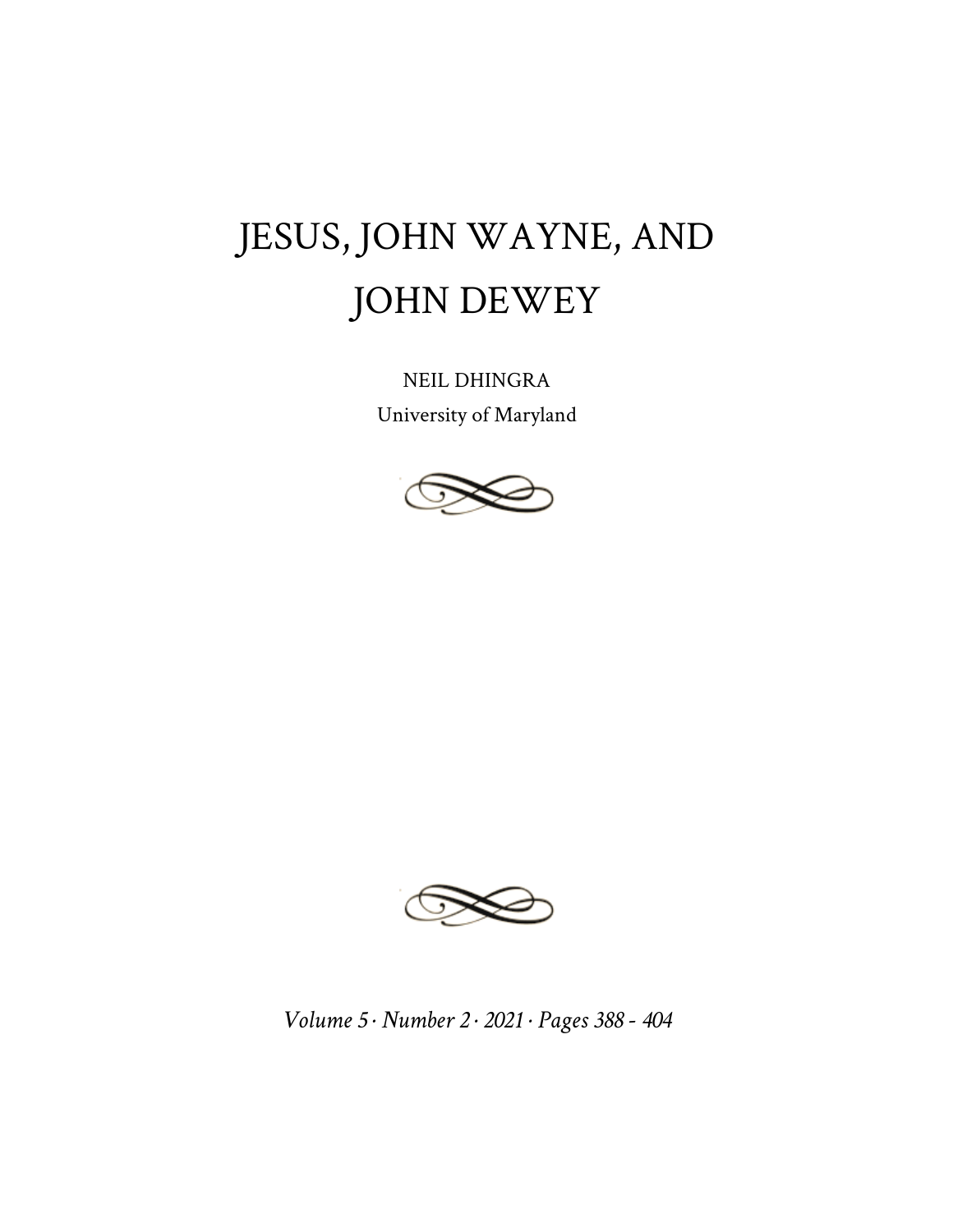## JESUS, JOHN WAYNE, AND JOHN DEWEY

NEIL DHINGRA University of Maryland





*Volume 5 · Number 2 · 2021 · Pages 388 - 404*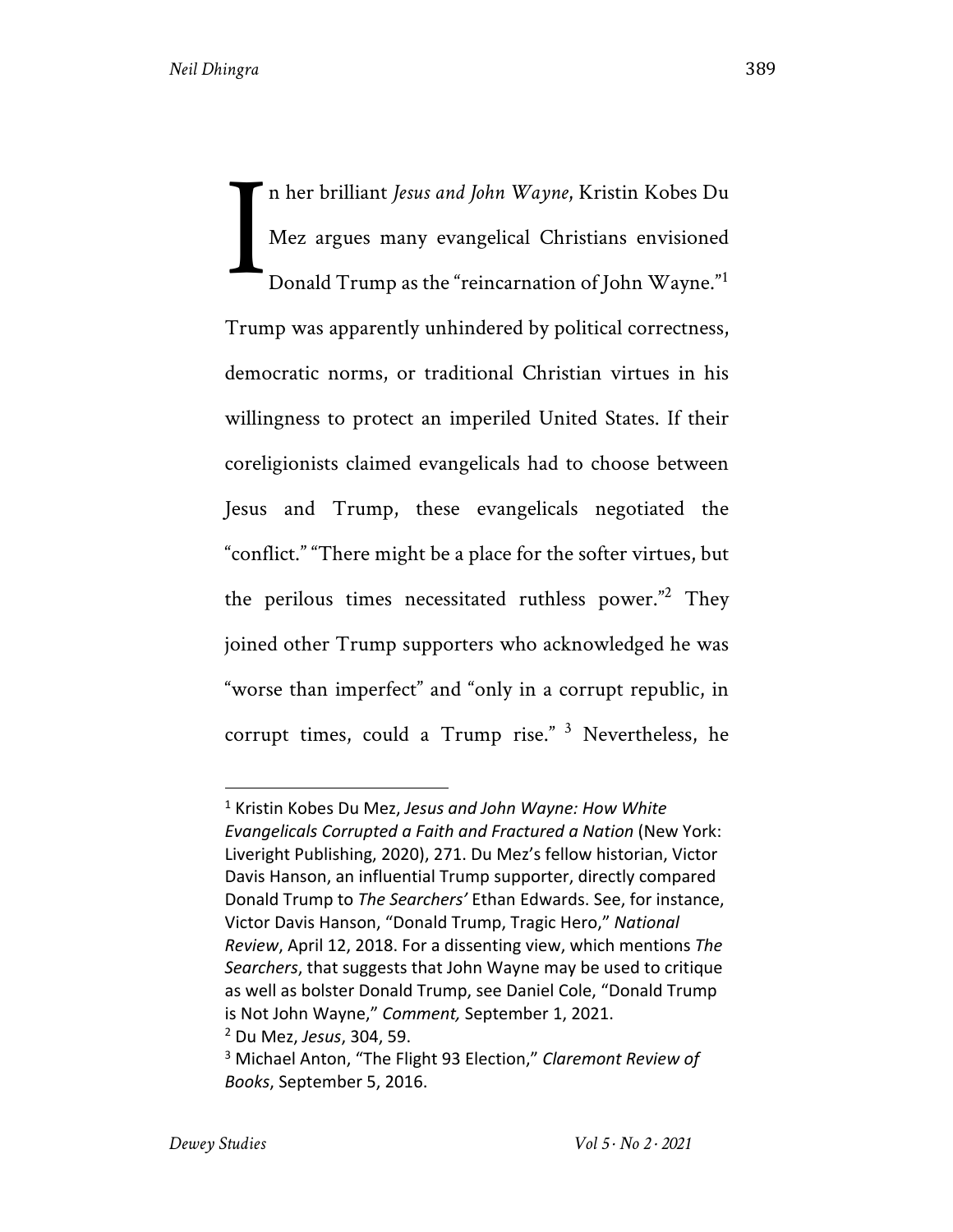n her brilliant *Jesus and John Wayne*, Kristin Kobes Du Mez argues many evangelical Christians envisioned Donald Trump as the "reincarnation of John Wayne."<sup>1</sup> Trump was apparently unhindered by political correctness, democratic norms, or traditional Christian virtues in his willingness to protect an imperiled United States. If their coreligionists claimed evangelicals had to choose between Jesus and Trump, these evangelicals negotiated the "conflict." "There might be a place for the softer virtues, but the perilous times necessitated ruthless power."2 They joined other Trump supporters who acknowledged he was "worse than imperfect" and "only in a corrupt republic, in corrupt times, could a Trump rise."  $3$  Nevertheless, he I

<sup>1</sup> Kristin Kobes Du Mez, *Jesus and John Wayne: How White Evangelicals Corrupted a Faith and Fractured a Nation* (New York: Liveright Publishing, 2020), 271. Du Mez's fellow historian, Victor Davis Hanson, an influential Trump supporter, directly compared Donald Trump to *The Searchers'* Ethan Edwards. See, for instance, Victor Davis Hanson, "Donald Trump, Tragic Hero," *National Review*, April 12, 2018. For a dissenting view, which mentions *The Searchers*, that suggests that John Wayne may be used to critique as well as bolster Donald Trump, see Daniel Cole, "Donald Trump is Not John Wayne," *Comment,* September 1, 2021. <sup>2</sup> Du Mez, *Jesus*, 304, 59.

<sup>3</sup> Michael Anton, "The Flight 93 Election," *Claremont Review of Books*, September 5, 2016.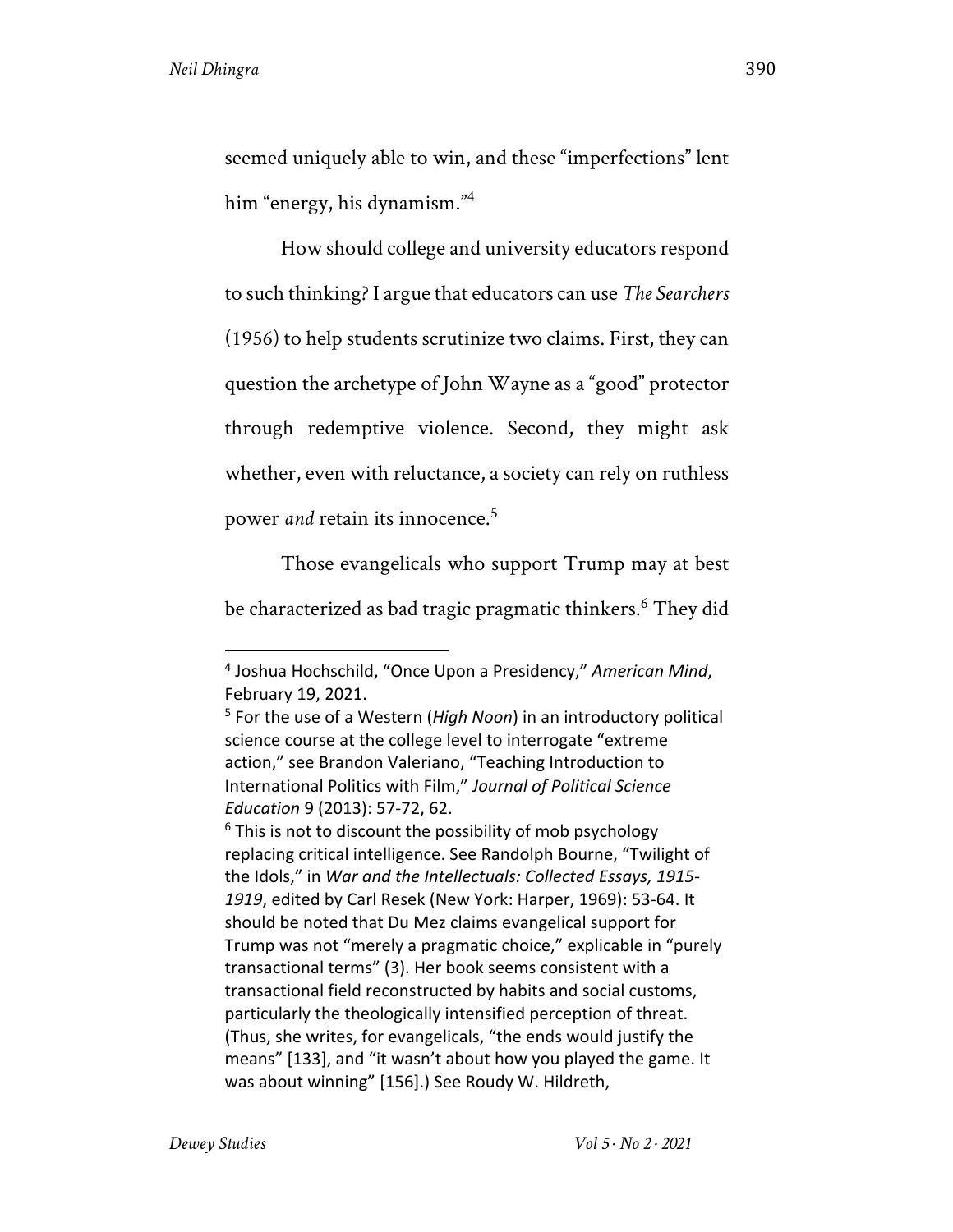seemed uniquely able to win, and these "imperfections" lent him "energy, his dynamism."<sup>4</sup>

How should college and university educators respond to such thinking? I argue that educators can use *The Searchers* (1956) to help students scrutinize two claims. First, they can question the archetype of John Wayne as a "good" protector through redemptive violence. Second, they might ask whether, even with reluctance, a society can rely on ruthless power *and* retain its innocence.5

Those evangelicals who support Trump may at best be characterized as bad tragic pragmatic thinkers.<sup>6</sup> They did

<sup>6</sup> This is not to discount the possibility of mob psychology replacing critical intelligence. See Randolph Bourne, "Twilight of the Idols," in *War and the Intellectuals: Collected Essays, 1915- 1919*, edited by Carl Resek (New York: Harper, 1969): 53-64. It should be noted that Du Mez claims evangelical support for Trump was not "merely a pragmatic choice," explicable in "purely transactional terms" (3). Her book seems consistent with a transactional field reconstructed by habits and social customs, particularly the theologically intensified perception of threat. (Thus, she writes, for evangelicals, "the ends would justify the means" [133], and "it wasn't about how you played the game. It was about winning" [156].) See Roudy W. Hildreth,

<sup>4</sup> Joshua Hochschild, "Once Upon a Presidency," *American Mind*, February 19, 2021.

<sup>5</sup> For the use of a Western (*High Noon*) in an introductory political science course at the college level to interrogate "extreme action," see Brandon Valeriano, "Teaching Introduction to International Politics with Film," *Journal of Political Science Education* 9 (2013): 57-72, 62.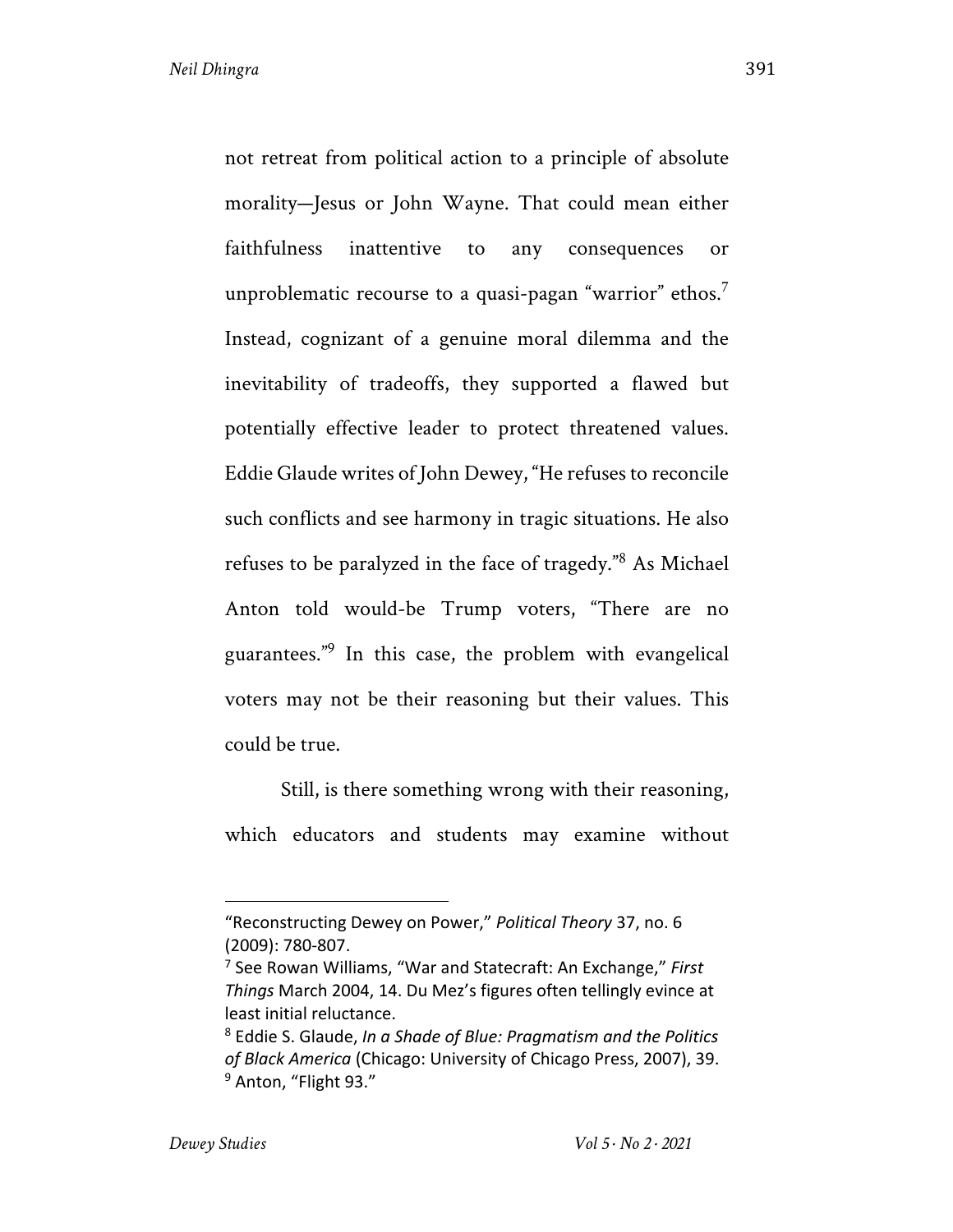not retreat from political action to a principle of absolute morality—Jesus or John Wayne. That could mean either faithfulness inattentive to any consequences or unproblematic recourse to a quasi-pagan "warrior" ethos.<sup>7</sup> Instead, cognizant of a genuine moral dilemma and the inevitability of tradeoffs, they supported a flawed but potentially effective leader to protect threatened values. Eddie Glaude writes of John Dewey, "He refuses to reconcile such conflicts and see harmony in tragic situations. He also refuses to be paralyzed in the face of tragedy."<sup>8</sup> As Michael Anton told would-be Trump voters, "There are no guarantees."9 In this case, the problem with evangelical voters may not be their reasoning but their values. This could be true.

Still, is there something wrong with their reasoning, which educators and students may examine without

<sup>&</sup>quot;Reconstructing Dewey on Power," *Political Theory* 37, no. 6 (2009): 780-807.

<sup>7</sup> See Rowan Williams, "War and Statecraft: An Exchange," *First Things* March 2004, 14. Du Mez's figures often tellingly evince at least initial reluctance.

<sup>8</sup> Eddie S. Glaude, *In a Shade of Blue: Pragmatism and the Politics of Black America* (Chicago: University of Chicago Press, 2007), 39. <sup>9</sup> Anton, "Flight 93."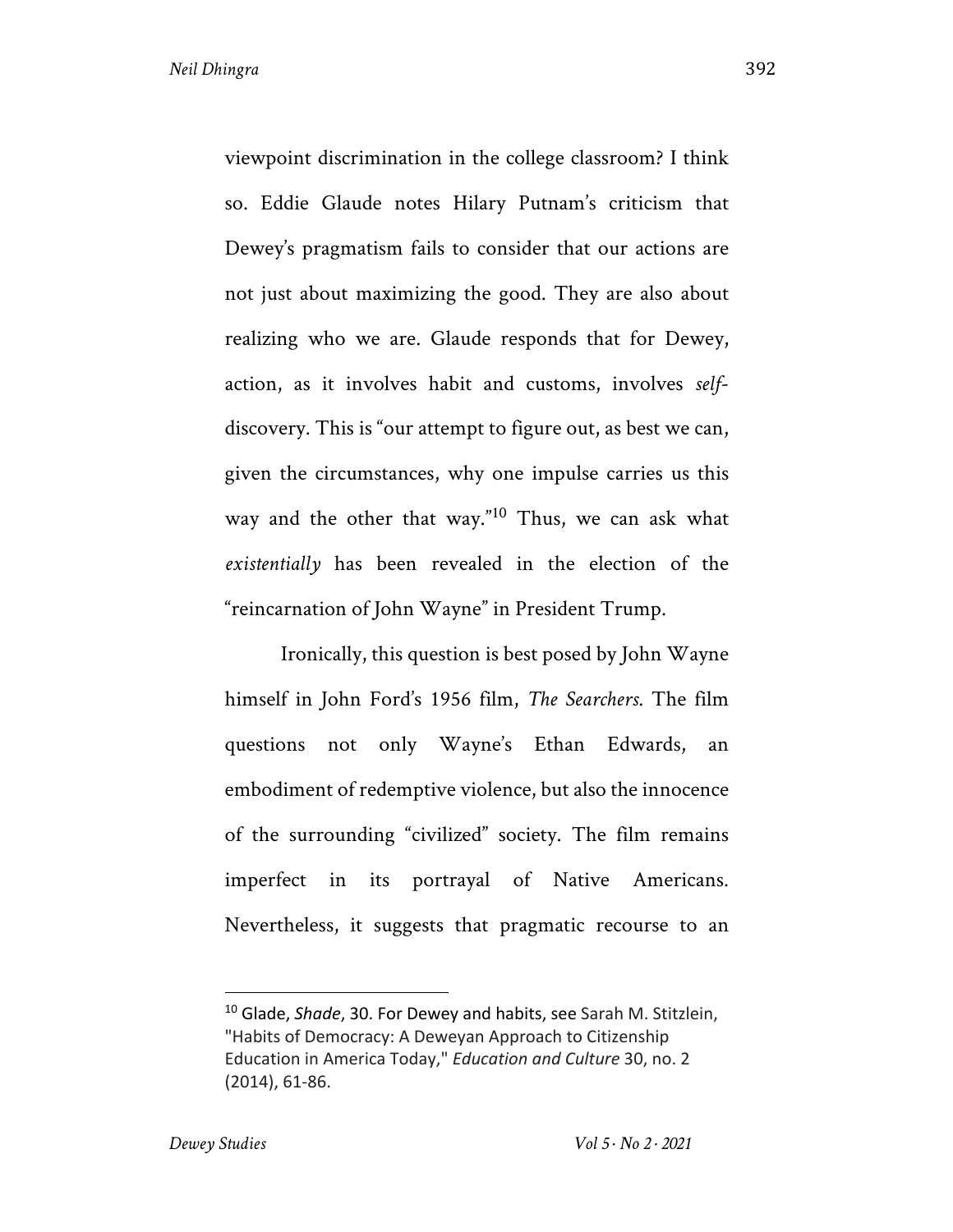viewpoint discrimination in the college classroom? I think so. Eddie Glaude notes Hilary Putnam's criticism that Dewey's pragmatism fails to consider that our actions are not just about maximizing the good. They are also about realizing who we are. Glaude responds that for Dewey, action, as it involves habit and customs, involves *self*discovery. This is "our attempt to figure out, as best we can, given the circumstances, why one impulse carries us this way and the other that way."10 Thus, we can ask what *existentially* has been revealed in the election of the "reincarnation of John Wayne" in President Trump.

Ironically, this question is best posed by John Wayne himself in John Ford's 1956 film, *The Searchers*. The film questions not only Wayne's Ethan Edwards, an embodiment of redemptive violence, but also the innocence of the surrounding "civilized" society. The film remains imperfect in its portrayal of Native Americans. Nevertheless, it suggests that pragmatic recourse to an

<sup>10</sup> Glade, *Shade*, 30. For Dewey and habits, see Sarah M. Stitzlein, "Habits of Democracy: A Deweyan Approach to Citizenship Education in America Today," *Education and Culture* 30, no. 2 (2014), 61-86.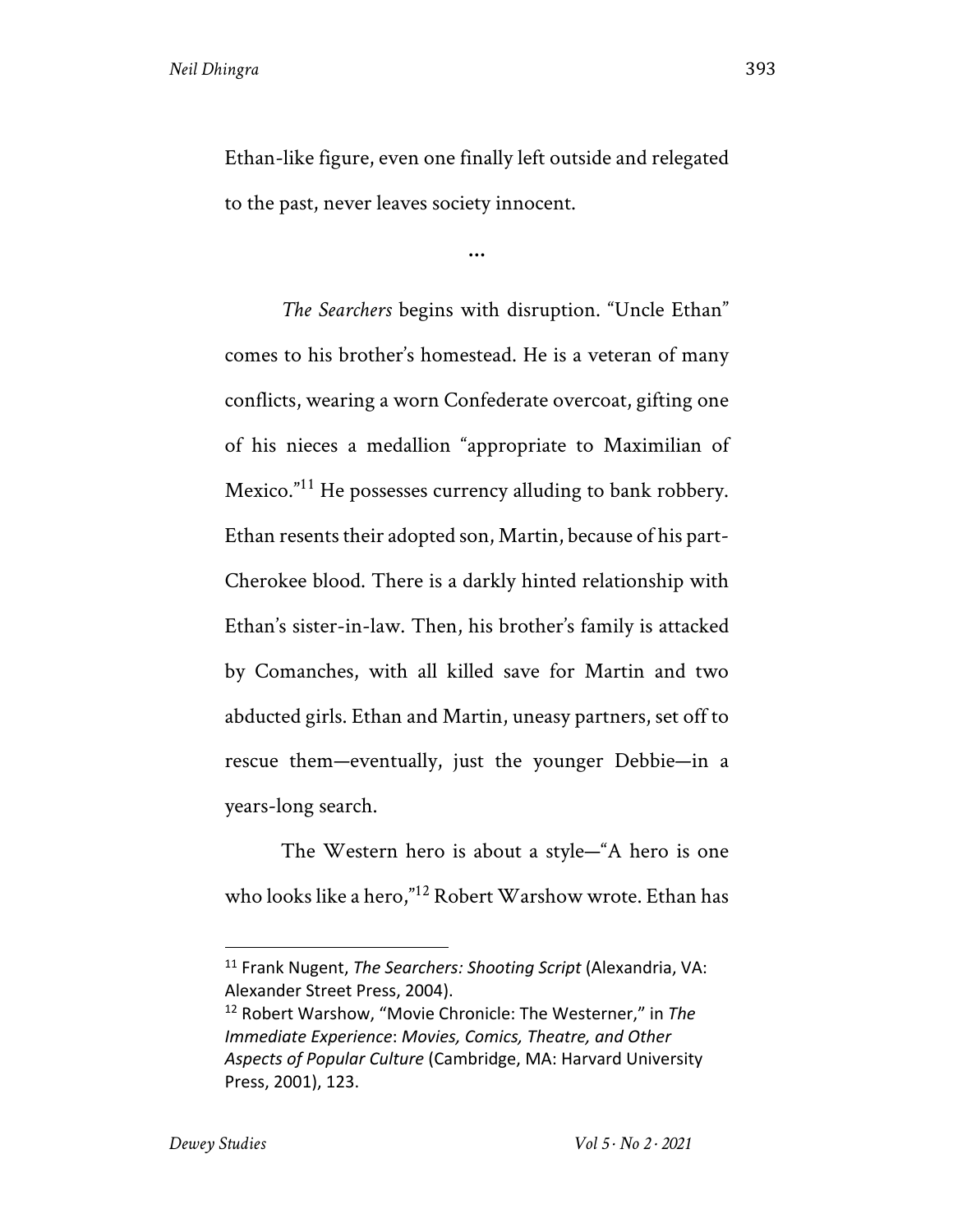Ethan-like figure, even one finally left outside and relegated to the past, never leaves society innocent.

**…**

*The Searchers* begins with disruption. "Uncle Ethan" comes to his brother's homestead. He is a veteran of many conflicts, wearing a worn Confederate overcoat, gifting one of his nieces a medallion "appropriate to Maximilian of Mexico."<sup>11</sup> He possesses currency alluding to bank robbery. Ethan resents their adopted son, Martin, because of his part-Cherokee blood. There is a darkly hinted relationship with Ethan's sister-in-law. Then, his brother's family is attacked by Comanches, with all killed save for Martin and two abducted girls. Ethan and Martin, uneasy partners, set off to rescue them—eventually, just the younger Debbie—in a years-long search.

The Western hero is about a style—"A hero is one who looks like a hero,"<sup>12</sup> Robert Warshow wrote. Ethan has

<sup>11</sup> Frank Nugent, *The Searchers: Shooting Script* (Alexandria, VA: Alexander Street Press, 2004).

<sup>12</sup> Robert Warshow, "Movie Chronicle: The Westerner," in *The Immediate Experience*: *Movies, Comics, Theatre, and Other Aspects of Popular Culture* (Cambridge, MA: Harvard University Press, 2001), 123.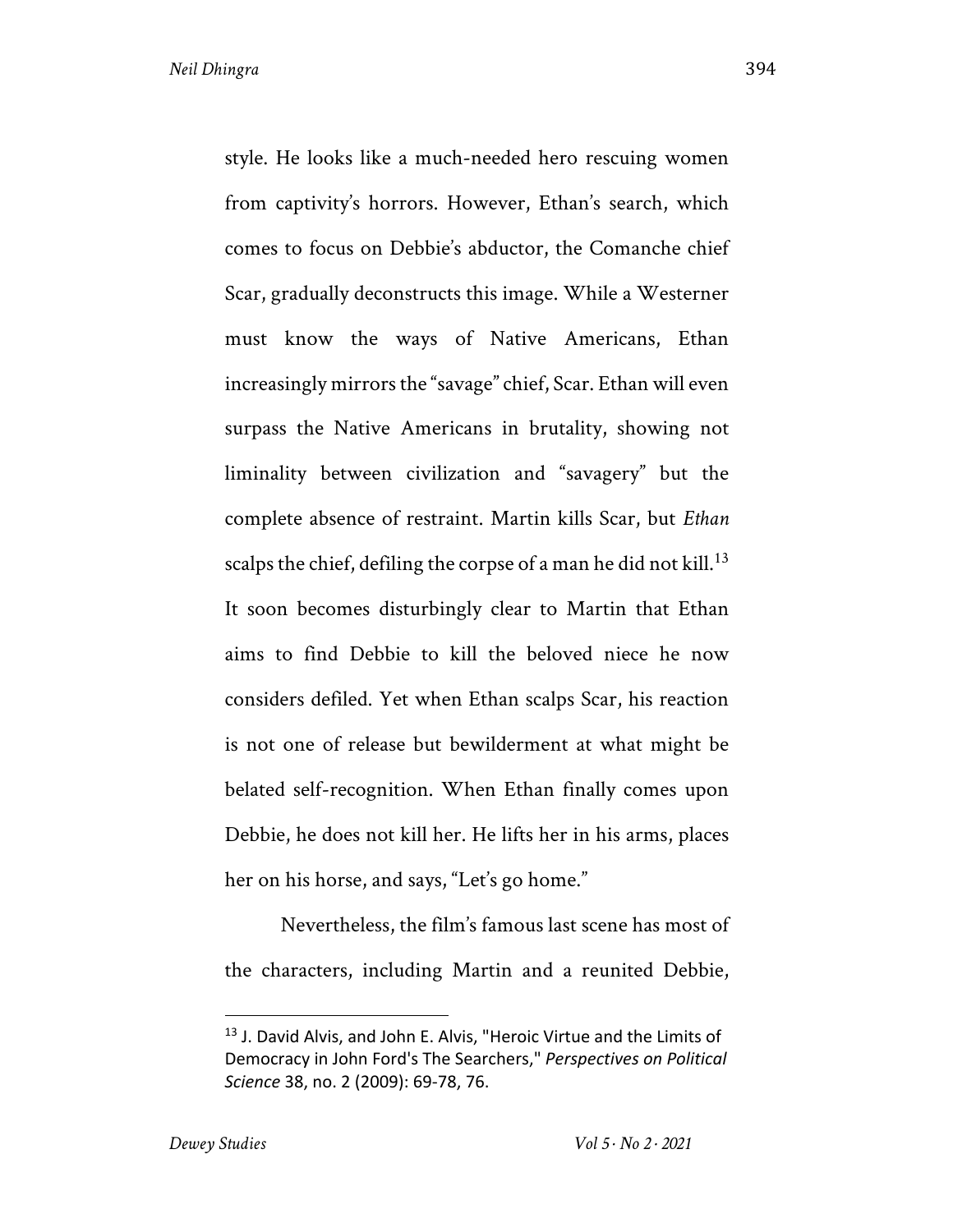style. He looks like a much-needed hero rescuing women from captivity's horrors. However, Ethan's search, which comes to focus on Debbie's abductor, the Comanche chief Scar, gradually deconstructs this image. While a Westerner must know the ways of Native Americans, Ethan increasingly mirrors the "savage" chief, Scar. Ethan will even surpass the Native Americans in brutality, showing not liminality between civilization and "savagery" but the complete absence of restraint. Martin kills Scar, but *Ethan* scalps the chief, defiling the corpse of a man he did not kill.<sup>13</sup> It soon becomes disturbingly clear to Martin that Ethan aims to find Debbie to kill the beloved niece he now considers defiled. Yet when Ethan scalps Scar, his reaction is not one of release but bewilderment at what might be belated self-recognition. When Ethan finally comes upon Debbie, he does not kill her. He lifts her in his arms, places her on his horse, and says, "Let's go home."

Nevertheless, the film's famous last scene has most of the characters, including Martin and a reunited Debbie,

<sup>&</sup>lt;sup>13</sup> J. David Alvis, and John E. Alvis, "Heroic Virtue and the Limits of Democracy in John Ford's The Searchers," *Perspectives on Political Science* 38, no. 2 (2009): 69-78, 76.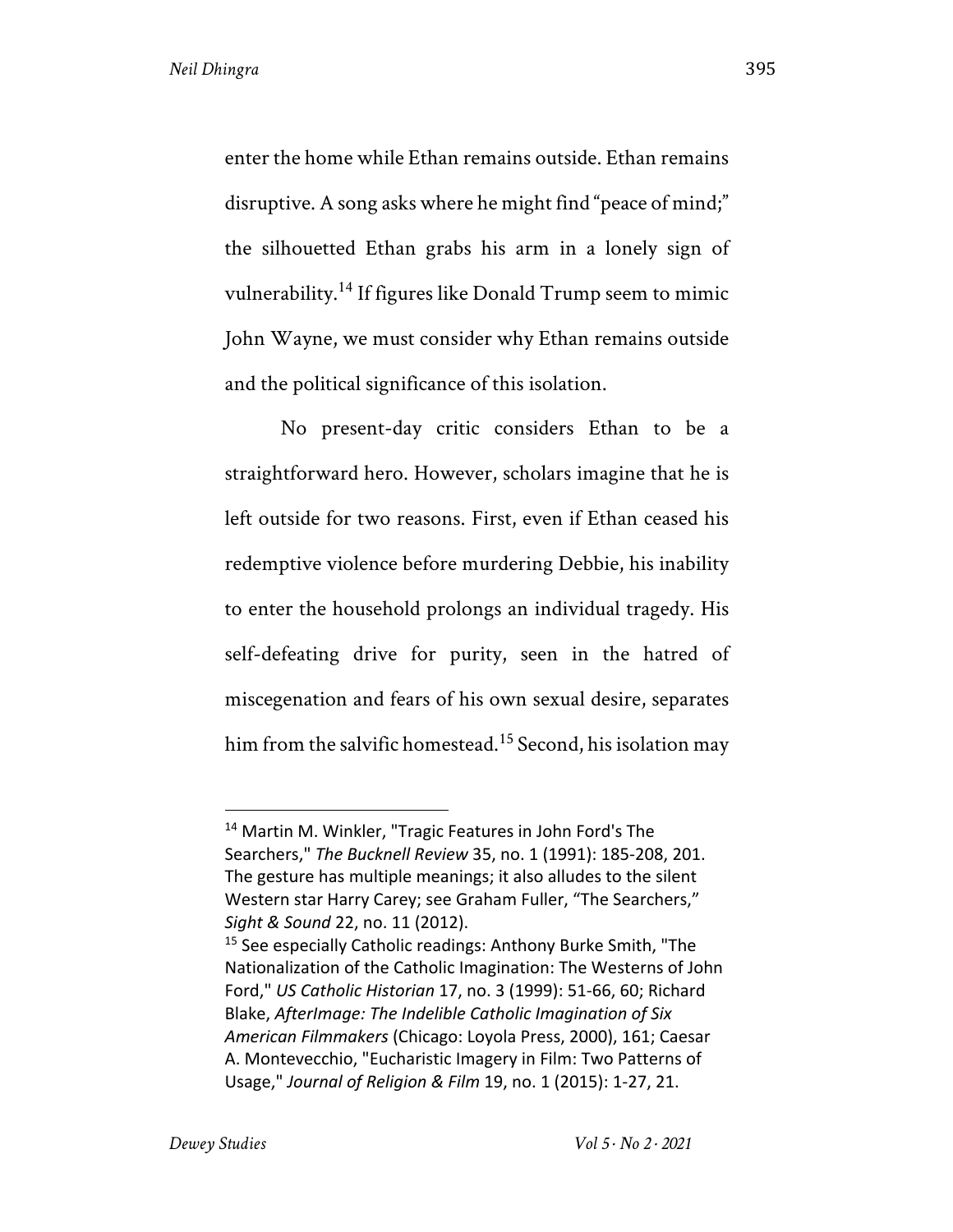enter the home while Ethan remains outside. Ethan remains disruptive. A song asks where he might find "peace of mind;" the silhouetted Ethan grabs his arm in a lonely sign of vulnerability.14 If figures like Donald Trump seem to mimic John Wayne, we must consider why Ethan remains outside and the political significance of this isolation.

No present-day critic considers Ethan to be a straightforward hero. However, scholars imagine that he is left outside for two reasons. First, even if Ethan ceased his redemptive violence before murdering Debbie, his inability to enter the household prolongs an individual tragedy. His self-defeating drive for purity, seen in the hatred of miscegenation and fears of his own sexual desire, separates him from the salvific homestead.<sup>15</sup> Second, his isolation may

<sup>14</sup> Martin M. Winkler, "Tragic Features in John Ford's The Searchers," *The Bucknell Review* 35, no. 1 (1991): 185-208, 201. The gesture has multiple meanings; it also alludes to the silent Western star Harry Carey; see Graham Fuller, "The Searchers," *Sight & Sound* 22, no. 11 (2012).

<sup>&</sup>lt;sup>15</sup> See especially Catholic readings: Anthony Burke Smith, "The Nationalization of the Catholic Imagination: The Westerns of John Ford," *US Catholic Historian* 17, no. 3 (1999): 51-66, 60; Richard Blake, *AfterImage: The Indelible Catholic Imagination of Six American Filmmakers* (Chicago: Loyola Press, 2000), 161; Caesar A. Montevecchio, "Eucharistic Imagery in Film: Two Patterns of Usage," *Journal of Religion & Film* 19, no. 1 (2015): 1-27, 21.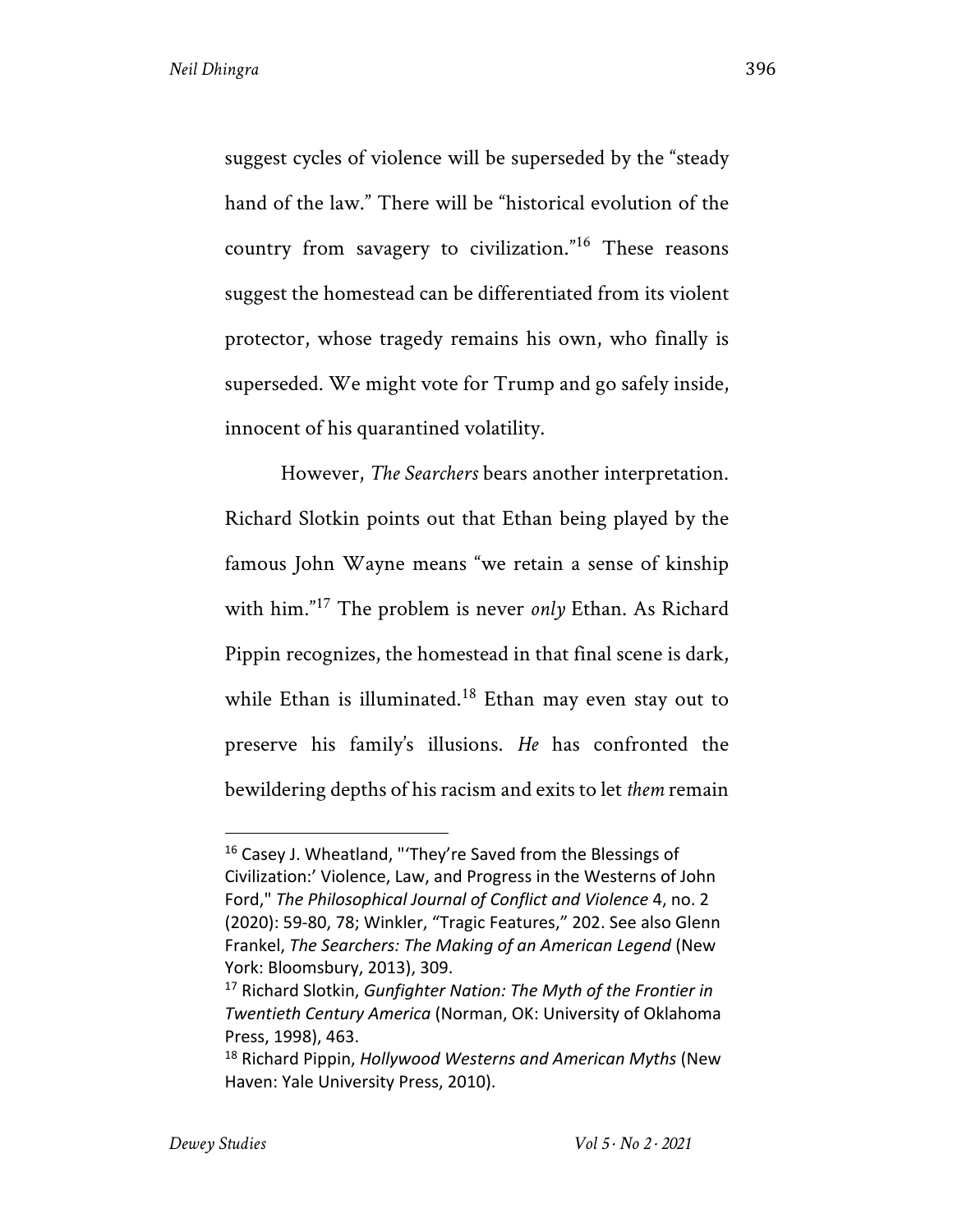suggest cycles of violence will be superseded by the "steady hand of the law." There will be "historical evolution of the country from savagery to civilization."<sup>16</sup> These reasons suggest the homestead can be differentiated from its violent protector, whose tragedy remains his own, who finally is superseded. We might vote for Trump and go safely inside, innocent of his quarantined volatility.

However, *The Searchers* bears another interpretation. Richard Slotkin points out that Ethan being played by the famous John Wayne means "we retain a sense of kinship with him."<sup>17</sup> The problem is never *only* Ethan. As Richard Pippin recognizes, the homestead in that final scene is dark, while Ethan is illuminated.<sup>18</sup> Ethan may even stay out to preserve his family's illusions. *He* has confronted the bewildering depths of his racism and exits to let *them* remain

<sup>&</sup>lt;sup>16</sup> Casey J. Wheatland, "'They're Saved from the Blessings of Civilization:' Violence, Law, and Progress in the Westerns of John Ford," *The Philosophical Journal of Conflict and Violence* 4, no. 2 (2020): 59-80, 78; Winkler, "Tragic Features," 202. See also Glenn Frankel, *The Searchers: The Making of an American Legend* (New York: Bloomsbury, 2013), 309.

<sup>17</sup> Richard Slotkin, *Gunfighter Nation: The Myth of the Frontier in Twentieth Century America* (Norman, OK: University of Oklahoma Press, 1998), 463.

<sup>18</sup> Richard Pippin, *Hollywood Westerns and American Myths* (New Haven: Yale University Press, 2010).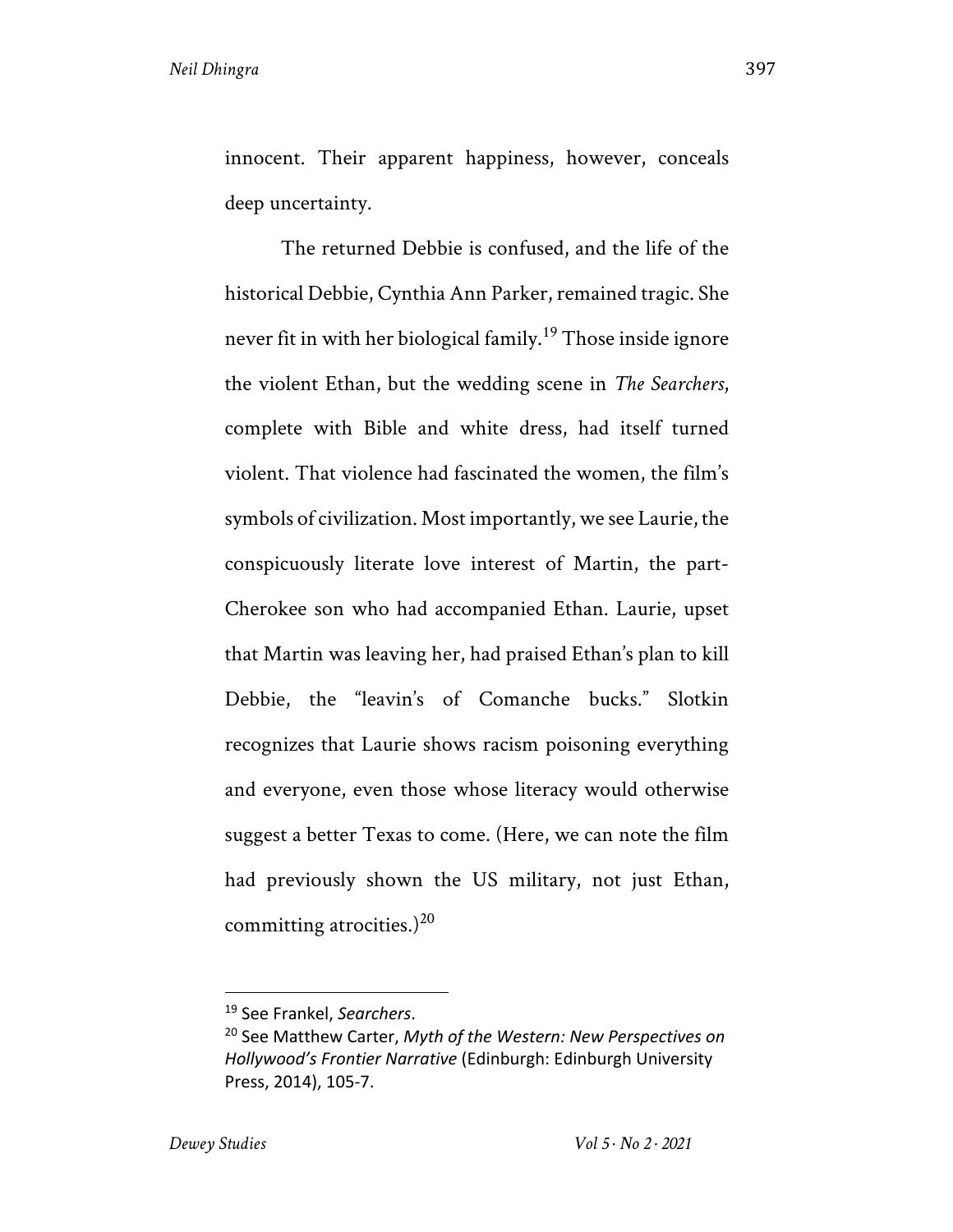innocent. Their apparent happiness, however, conceals deep uncertainty.

The returned Debbie is confused, and the life of the historical Debbie, Cynthia Ann Parker, remained tragic. She never fit in with her biological family.<sup>19</sup> Those inside ignore the violent Ethan, but the wedding scene in *The Searchers*, complete with Bible and white dress, had itself turned violent. That violence had fascinated the women, the film's symbols of civilization. Most importantly, we see Laurie, the conspicuously literate love interest of Martin, the part-Cherokee son who had accompanied Ethan. Laurie, upset that Martin was leaving her, had praised Ethan's plan to kill Debbie, the "leavin's of Comanche bucks." Slotkin recognizes that Laurie shows racism poisoning everything and everyone, even those whose literacy would otherwise suggest a better Texas to come. (Here, we can note the film had previously shown the US military, not just Ethan, committing atrocities.)<sup>20</sup>

<sup>19</sup> See Frankel, *Searchers*.

<sup>20</sup> See Matthew Carter, *Myth of the Western: New Perspectives on Hollywood's Frontier Narrative* (Edinburgh: Edinburgh University Press, 2014), 105-7.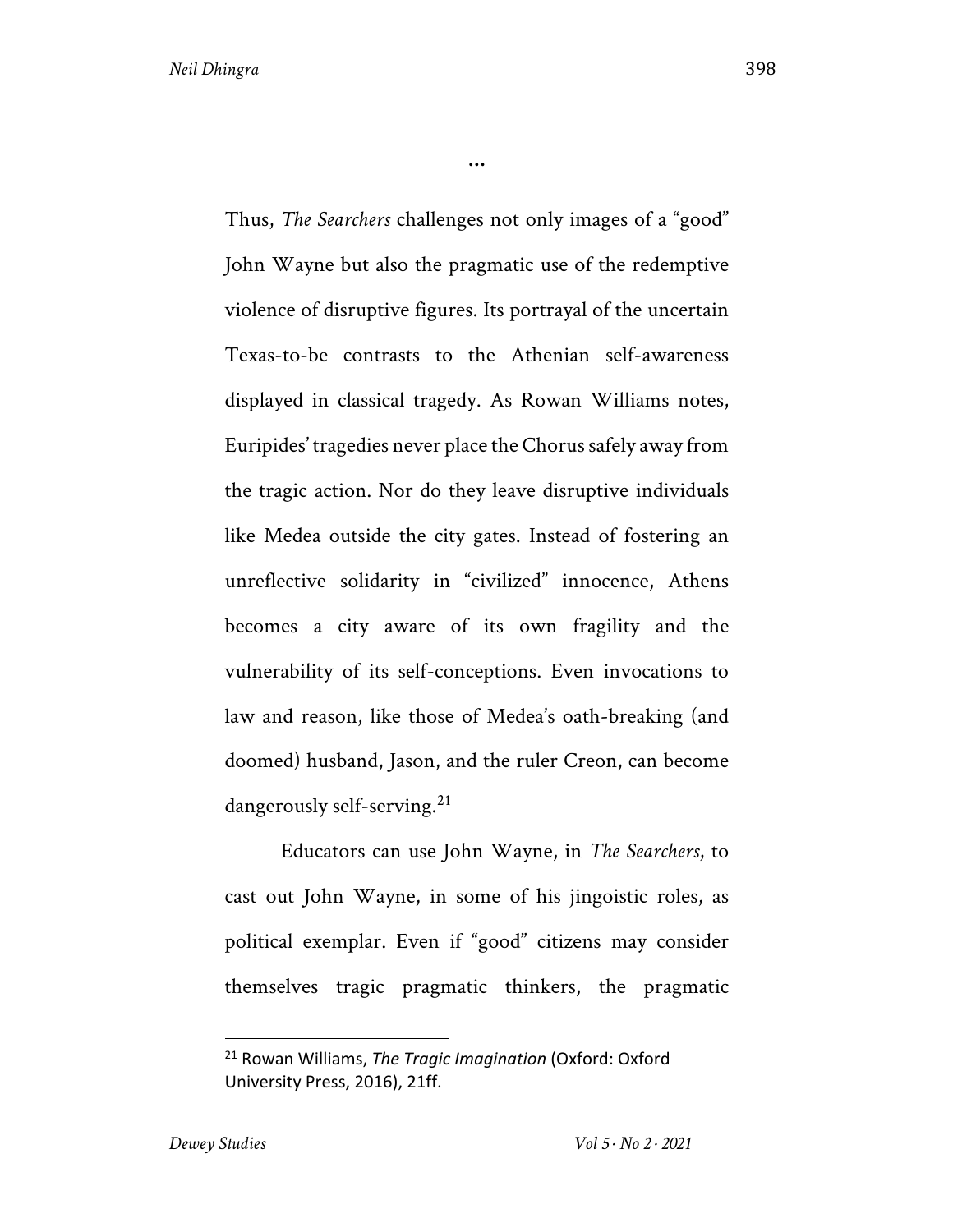Thus, *The Searchers* challenges not only images of a "good" John Wayne but also the pragmatic use of the redemptive violence of disruptive figures. Its portrayal of the uncertain Texas-to-be contrasts to the Athenian self-awareness displayed in classical tragedy. As Rowan Williams notes, Euripides' tragedies never place the Chorus safely away from the tragic action. Nor do they leave disruptive individuals like Medea outside the city gates. Instead of fostering an unreflective solidarity in "civilized" innocence, Athens becomes a city aware of its own fragility and the vulnerability of its self-conceptions. Even invocations to law and reason, like those of Medea's oath-breaking (and doomed) husband, Jason, and the ruler Creon, can become dangerously self-serving.<sup>21</sup>

**…**

Educators can use John Wayne, in *The Searchers*, to cast out John Wayne, in some of his jingoistic roles, as political exemplar. Even if "good" citizens may consider themselves tragic pragmatic thinkers, the pragmatic

<sup>21</sup> Rowan Williams, *The Tragic Imagination* (Oxford: Oxford University Press, 2016), 21ff.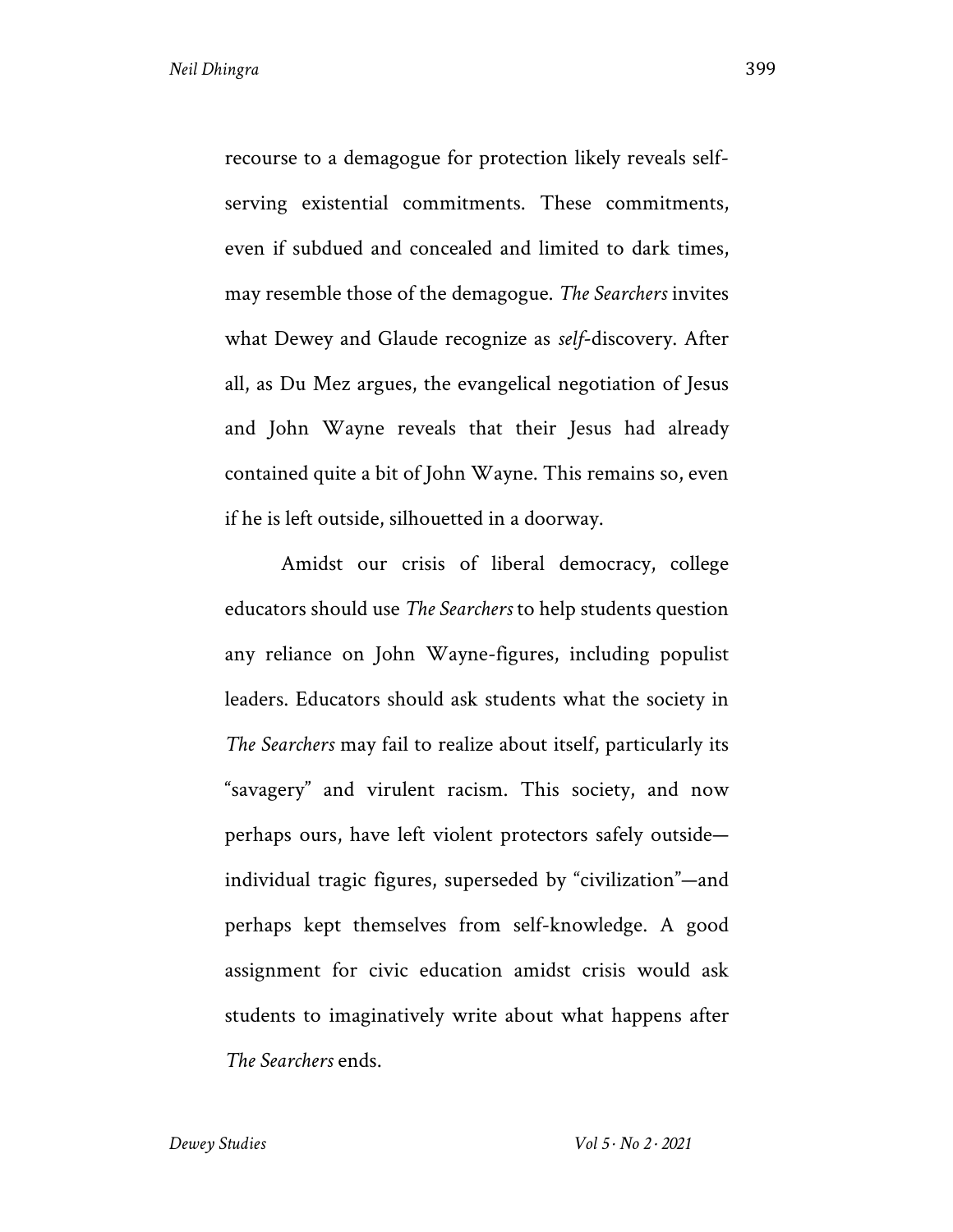recourse to a demagogue for protection likely reveals selfserving existential commitments. These commitments, even if subdued and concealed and limited to dark times, may resemble those of the demagogue. *The Searchers* invites what Dewey and Glaude recognize as *self*-discovery. After all, as Du Mez argues, the evangelical negotiation of Jesus and John Wayne reveals that their Jesus had already contained quite a bit of John Wayne. This remains so, even if he is left outside, silhouetted in a doorway.

Amidst our crisis of liberal democracy, college educators should use *The Searchers* to help students question any reliance on John Wayne-figures, including populist leaders. Educators should ask students what the society in *The Searchers* may fail to realize about itself, particularly its "savagery" and virulent racism. This society, and now perhaps ours, have left violent protectors safely outside individual tragic figures, superseded by "civilization"—and perhaps kept themselves from self-knowledge. A good assignment for civic education amidst crisis would ask students to imaginatively write about what happens after *The Searchers* ends.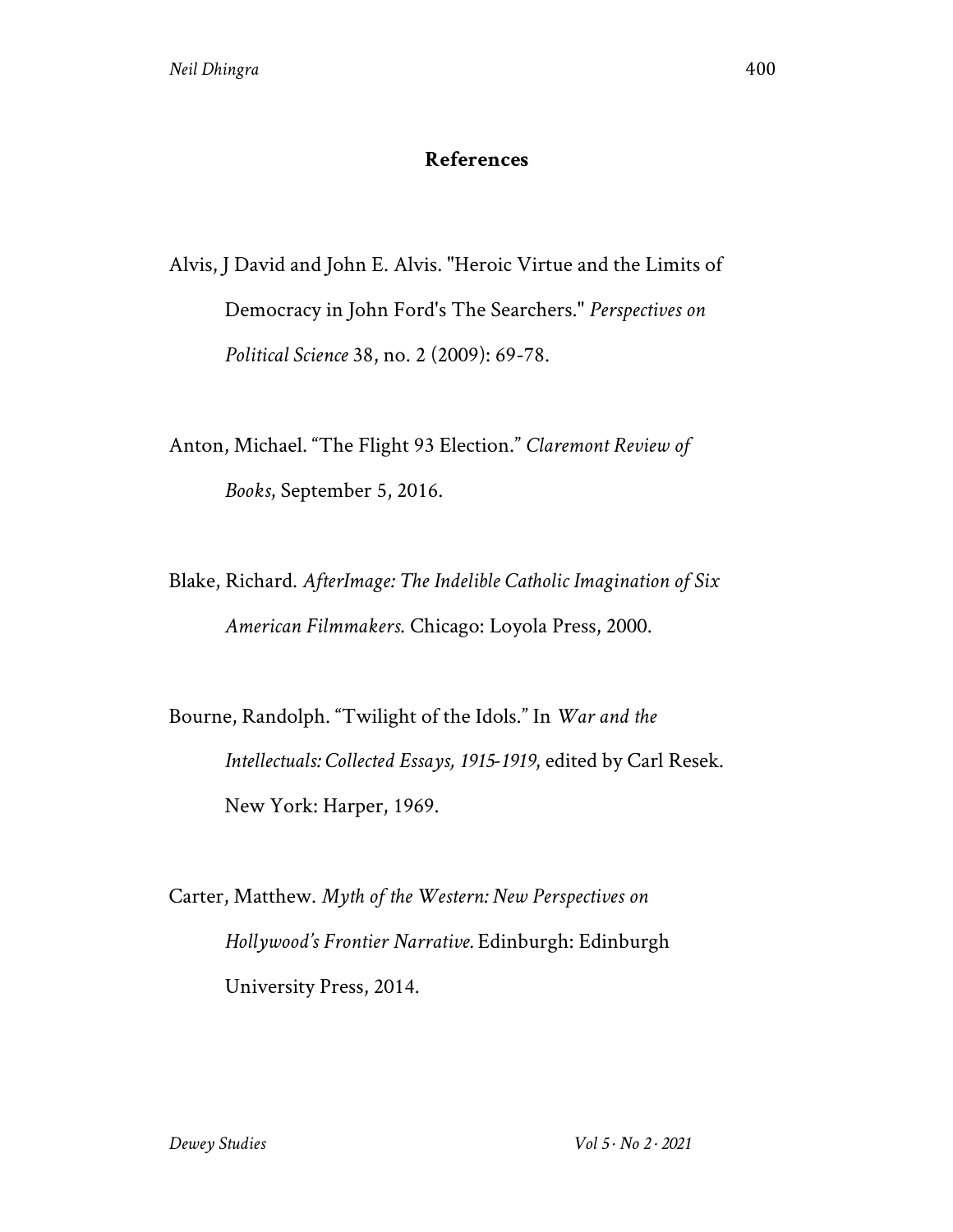## **References**

Alvis, J David and John E. Alvis. "Heroic Virtue and the Limits of Democracy in John Ford's The Searchers." *Perspectives on Political Science* 38, no. 2 (2009): 69-78.

Anton, Michael. "The Flight 93 Election." *Claremont Review of Books*, September 5, 2016.

Blake, Richard. *AfterImage: The Indelible Catholic Imagination of Six American Filmmakers*. Chicago: Loyola Press, 2000.

Bourne, Randolph. "Twilight of the Idols." In *War and the Intellectuals: Collected Essays, 1915-1919*, edited by Carl Resek. New York: Harper, 1969.

Carter, Matthew. *Myth of the Western: New Perspectives on Hollywood's Frontier Narrative.* Edinburgh: Edinburgh University Press, 2014.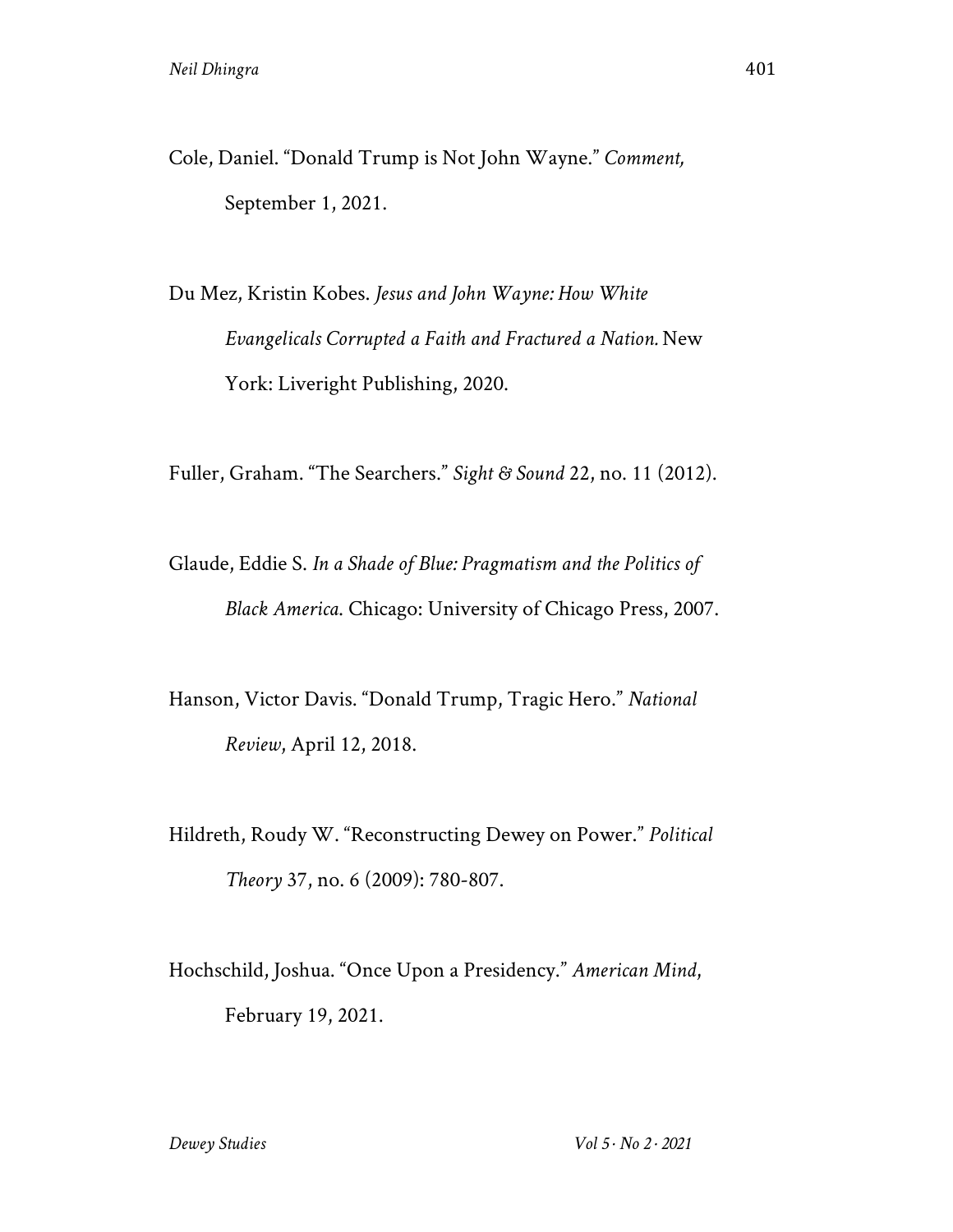Cole, Daniel. "Donald Trump is Not John Wayne." *Comment,* September 1, 2021.

Du Mez, Kristin Kobes. *Jesus and John Wayne: How White Evangelicals Corrupted a Faith and Fractured a Nation.* New York: Liveright Publishing, 2020.

Fuller, Graham. "The Searchers." *Sight & Sound* 22, no. 11 (2012).

- Glaude, Eddie S. *In a Shade of Blue: Pragmatism and the Politics of Black America*. Chicago: University of Chicago Press, 2007.
- Hanson, Victor Davis. "Donald Trump, Tragic Hero." *National Review*, April 12, 2018.
- Hildreth, Roudy W. "Reconstructing Dewey on Power." *Political Theory* 37, no. 6 (2009): 780-807.
- Hochschild, Joshua. "Once Upon a Presidency." *American Mind*, February 19, 2021.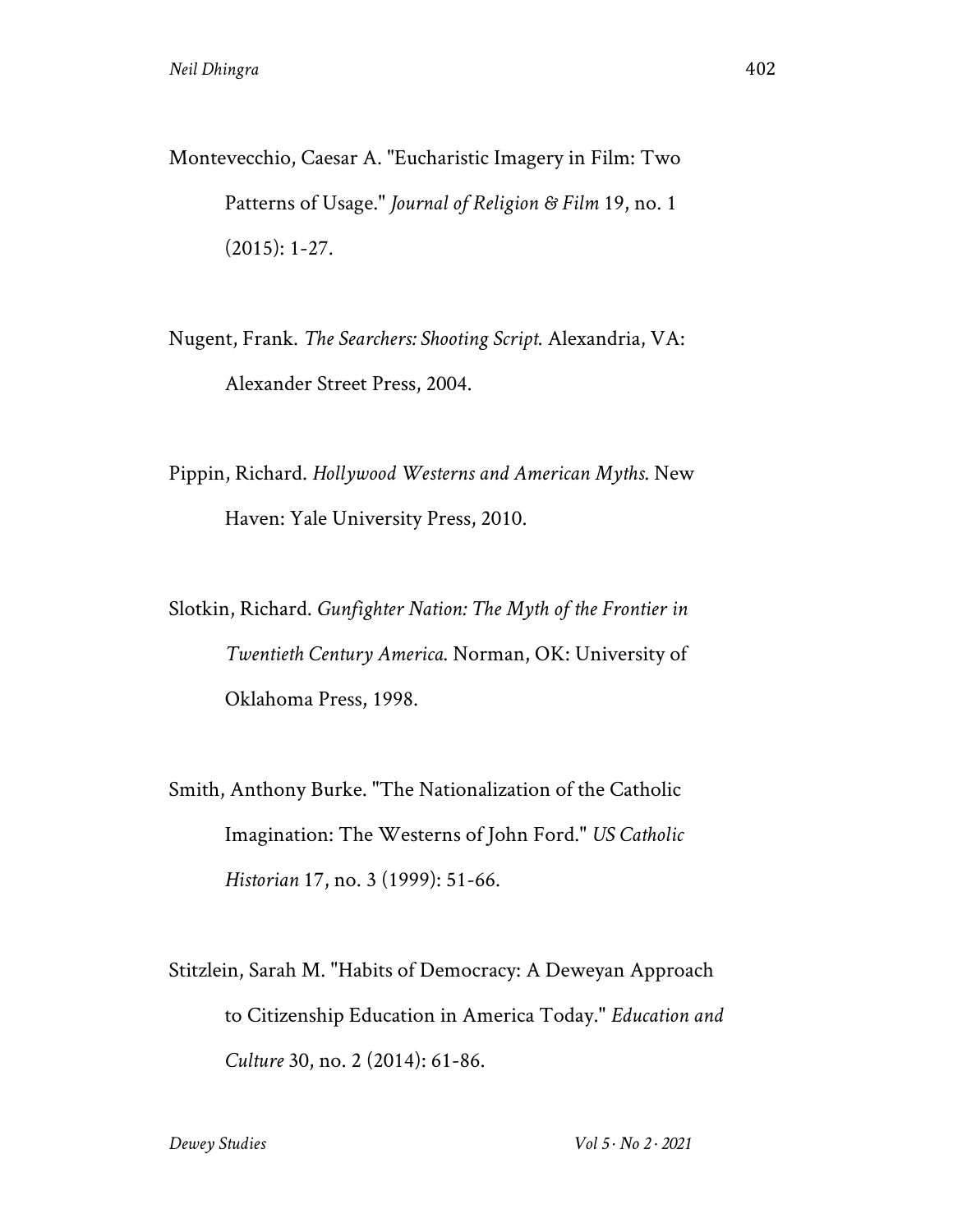Montevecchio, Caesar A. "Eucharistic Imagery in Film: Two Patterns of Usage." *Journal of Religion & Film* 19, no. 1 (2015): 1-27.

Nugent, Frank. *The Searchers: Shooting Script*. Alexandria, VA: Alexander Street Press, 2004.

- Pippin, Richard. *Hollywood Westerns and American Myths*. New Haven: Yale University Press, 2010.
- Slotkin, Richard. *Gunfighter Nation: The Myth of the Frontier in Twentieth Century America*. Norman, OK: University of Oklahoma Press, 1998.
- Smith, Anthony Burke. "The Nationalization of the Catholic Imagination: The Westerns of John Ford." *US Catholic Historian* 17, no. 3 (1999): 51-66.
- Stitzlein, Sarah M. "Habits of Democracy: A Deweyan Approach to Citizenship Education in America Today." *Education and Culture* 30, no. 2 (2014): 61-86.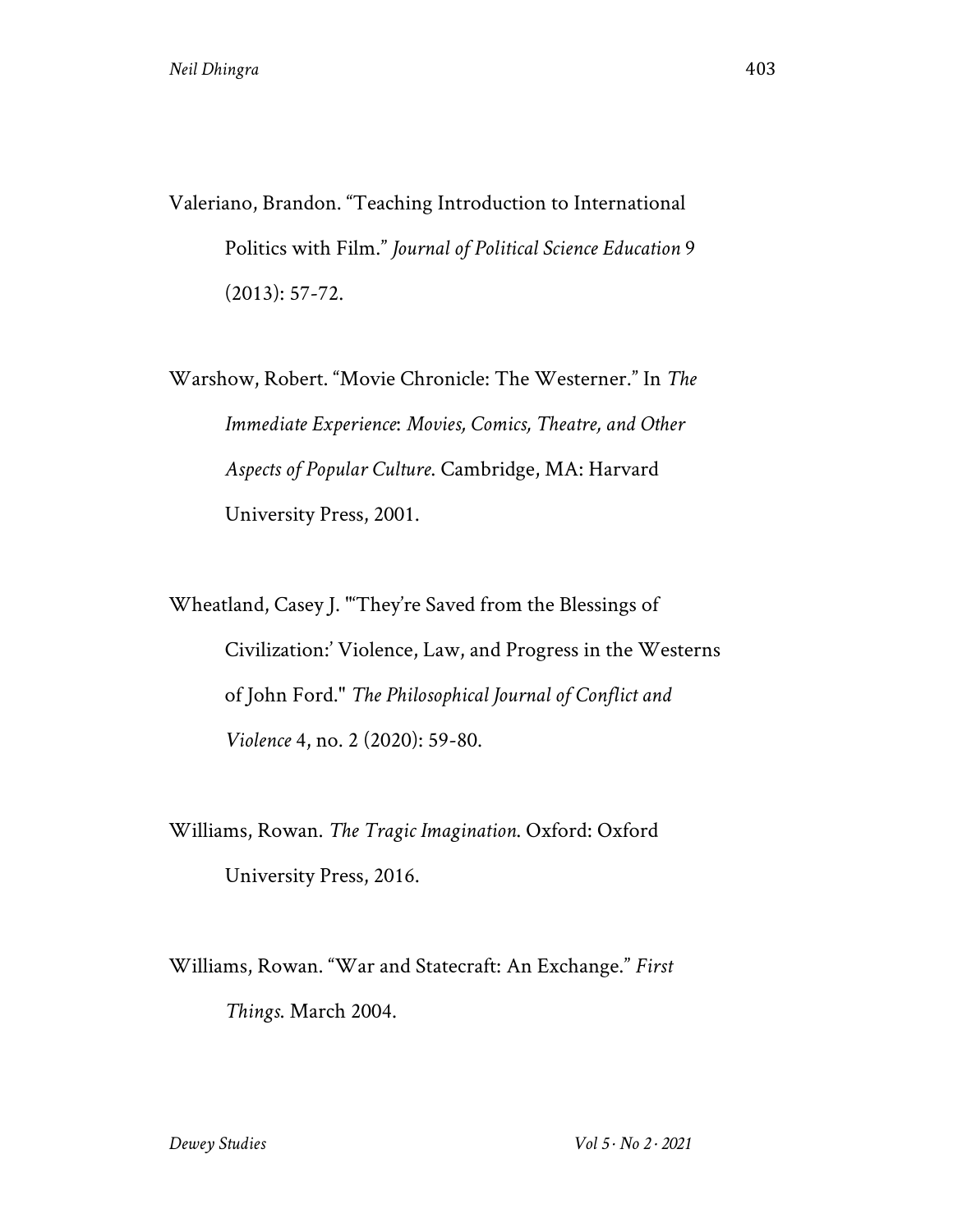Valeriano, Brandon. "Teaching Introduction to International Politics with Film." *Journal of Political Science Education* 9 (2013): 57-72.

Warshow, Robert. "Movie Chronicle: The Westerner." In *The Immediate Experience*: *Movies, Comics, Theatre, and Other Aspects of Popular Culture*. Cambridge, MA: Harvard University Press, 2001.

Wheatland, Casey J. "'They're Saved from the Blessings of Civilization:' Violence, Law, and Progress in the Westerns of John Ford." *The Philosophical Journal of Conflict and Violence* 4, no. 2 (2020): 59-80.

Williams, Rowan. *The Tragic Imagination*. Oxford: Oxford University Press, 2016.

Williams, Rowan. "War and Statecraft: An Exchange." *First Things*. March 2004.